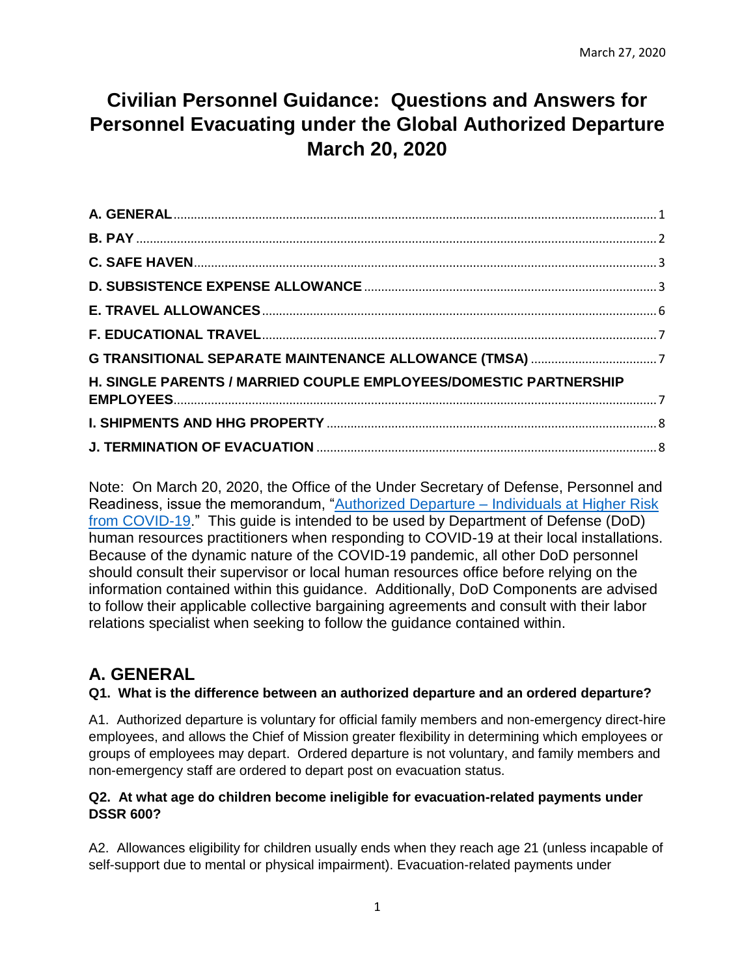# **Civilian Personnel Guidance: Questions and Answers for Personnel Evacuating under the Global Authorized Departure March 20, 2020**

| H. SINGLE PARENTS / MARRIED COUPLE EMPLOYEES/DOMESTIC PARTNERSHIP |  |
|-------------------------------------------------------------------|--|
|                                                                   |  |
|                                                                   |  |

Note: On March 20, 2020, the Office of the Under Secretary of Defense, Personnel and Readiness, issue the memorandum, "Authorized Departure – [Individuals at Higher Risk](https://media.defense.gov/2020/Mar/11/2002263242/-1/-1/1/TRAVEL-RESTRICTIONS-FOR-DOD-COMPONENTS-IN-RESPONSE-TO-CORONAVIRUS-DISEASE-2019.PDF)  [from COVID-19.](https://media.defense.gov/2020/Mar/11/2002263242/-1/-1/1/TRAVEL-RESTRICTIONS-FOR-DOD-COMPONENTS-IN-RESPONSE-TO-CORONAVIRUS-DISEASE-2019.PDF)" This guide is intended to be used by Department of Defense (DoD) human resources practitioners when responding to COVID-19 at their local installations. Because of the dynamic nature of the COVID-19 pandemic, all other DoD personnel should consult their supervisor or local human resources office before relying on the information contained within this guidance. Additionally, DoD Components are advised to follow their applicable collective bargaining agreements and consult with their labor relations specialist when seeking to follow the guidance contained within.

## <span id="page-0-0"></span>**A. GENERAL**

#### **Q1. What is the difference between an authorized departure and an ordered departure?**

A1. Authorized departure is voluntary for official family members and non-emergency direct-hire employees, and allows the Chief of Mission greater flexibility in determining which employees or groups of employees may depart. Ordered departure is not voluntary, and family members and non-emergency staff are ordered to depart post on evacuation status.

#### **Q2. At what age do children become ineligible for evacuation-related payments under DSSR 600?**

A2. Allowances eligibility for children usually ends when they reach age 21 (unless incapable of self-support due to mental or physical impairment). Evacuation-related payments under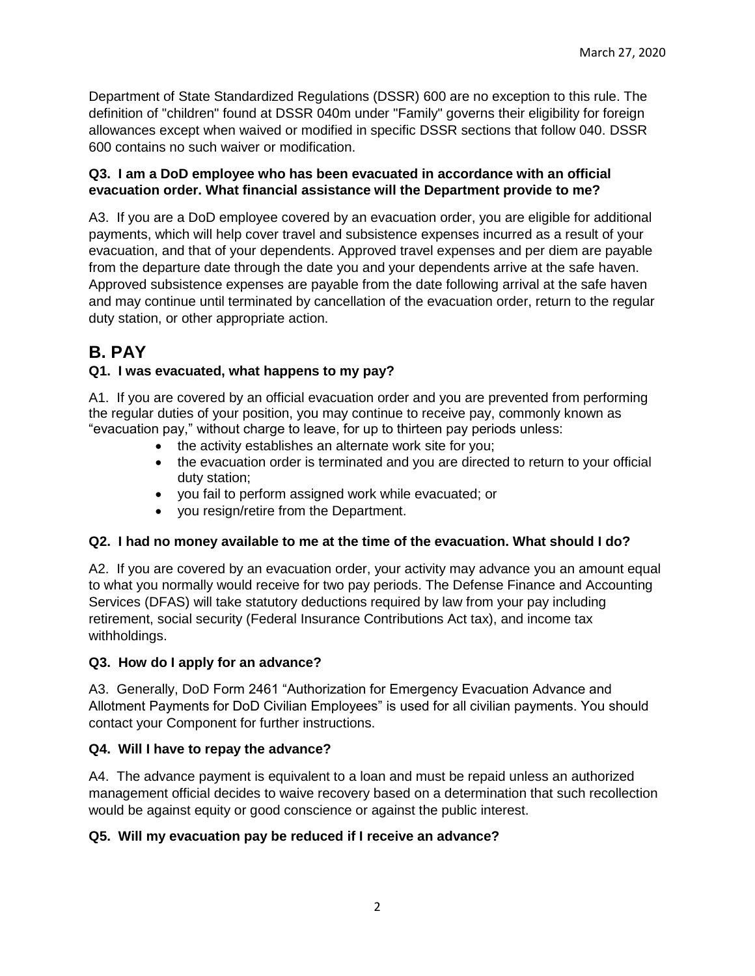Department of State Standardized Regulations (DSSR) 600 are no exception to this rule. The definition of "children" found at DSSR 040m under "Family" governs their eligibility for foreign allowances except when waived or modified in specific DSSR sections that follow 040. DSSR 600 contains no such waiver or modification.

#### **Q3. I am a DoD employee who has been evacuated in accordance with an official evacuation order. What financial assistance will the Department provide to me?**

A3. If you are a DoD employee covered by an evacuation order, you are eligible for additional payments, which will help cover travel and subsistence expenses incurred as a result of your evacuation, and that of your dependents. Approved travel expenses and per diem are payable from the departure date through the date you and your dependents arrive at the safe haven. Approved subsistence expenses are payable from the date following arrival at the safe haven and may continue until terminated by cancellation of the evacuation order, return to the regular duty station, or other appropriate action.

## <span id="page-1-0"></span>**B. PAY**

### **Q1. I was evacuated, what happens to my pay?**

A1. If you are covered by an official evacuation order and you are prevented from performing the regular duties of your position, you may continue to receive pay, commonly known as "evacuation pay," without charge to leave, for up to thirteen pay periods unless:

- the activity establishes an alternate work site for you;
- the evacuation order is terminated and you are directed to return to your official duty station;
- you fail to perform assigned work while evacuated; or
- you resign/retire from the Department.

#### **Q2. I had no money available to me at the time of the evacuation. What should I do?**

A2. If you are covered by an evacuation order, your activity may advance you an amount equal to what you normally would receive for two pay periods. The Defense Finance and Accounting Services (DFAS) will take statutory deductions required by law from your pay including retirement, social security (Federal Insurance Contributions Act tax), and income tax withholdings.

#### **Q3. How do I apply for an advance?**

A3. Generally, DoD Form 2461 "Authorization for Emergency Evacuation Advance and Allotment Payments for DoD Civilian Employees" is used for all civilian payments. You should contact your Component for further instructions.

### **Q4. Will I have to repay the advance?**

A4. The advance payment is equivalent to a loan and must be repaid unless an authorized management official decides to waive recovery based on a determination that such recollection would be against equity or good conscience or against the public interest.

### **Q5. Will my evacuation pay be reduced if I receive an advance?**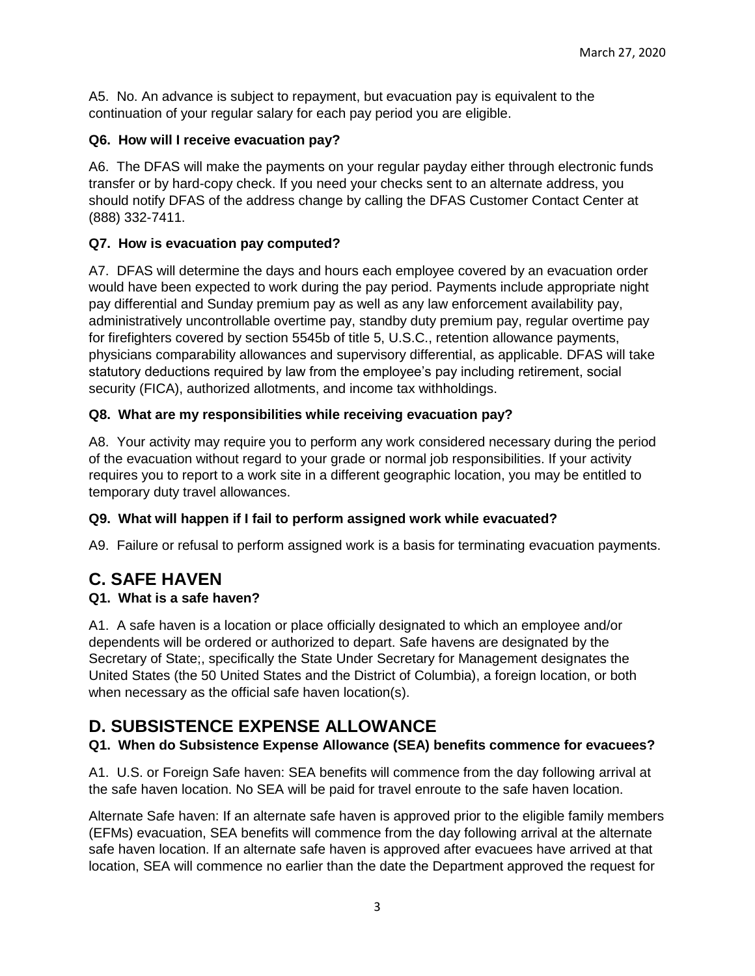A5. No. An advance is subject to repayment, but evacuation pay is equivalent to the continuation of your regular salary for each pay period you are eligible.

#### **Q6. How will I receive evacuation pay?**

A6. The DFAS will make the payments on your regular payday either through electronic funds transfer or by hard-copy check. If you need your checks sent to an alternate address, you should notify DFAS of the address change by calling the DFAS Customer Contact Center at (888) 332-7411.

#### **Q7. How is evacuation pay computed?**

A7. DFAS will determine the days and hours each employee covered by an evacuation order would have been expected to work during the pay period. Payments include appropriate night pay differential and Sunday premium pay as well as any law enforcement availability pay, administratively uncontrollable overtime pay, standby duty premium pay, regular overtime pay for firefighters covered by section 5545b of title 5, U.S.C., retention allowance payments, physicians comparability allowances and supervisory differential, as applicable. DFAS will take statutory deductions required by law from the employee's pay including retirement, social security (FICA), authorized allotments, and income tax withholdings.

#### **Q8. What are my responsibilities while receiving evacuation pay?**

A8. Your activity may require you to perform any work considered necessary during the period of the evacuation without regard to your grade or normal job responsibilities. If your activity requires you to report to a work site in a different geographic location, you may be entitled to temporary duty travel allowances.

#### **Q9. What will happen if I fail to perform assigned work while evacuated?**

A9. Failure or refusal to perform assigned work is a basis for terminating evacuation payments.

## <span id="page-2-0"></span>**C. SAFE HAVEN**

#### **Q1. What is a safe haven?**

A1. A safe haven is a location or place officially designated to which an employee and/or dependents will be ordered or authorized to depart. Safe havens are designated by the Secretary of State;, specifically the State Under Secretary for Management designates the United States (the 50 United States and the District of Columbia), a foreign location, or both when necessary as the official safe haven location(s).

## <span id="page-2-1"></span>**D. SUBSISTENCE EXPENSE ALLOWANCE**

#### **Q1. When do Subsistence Expense Allowance (SEA) benefits commence for evacuees?**

A1. U.S. or Foreign Safe haven: SEA benefits will commence from the day following arrival at the safe haven location. No SEA will be paid for travel enroute to the safe haven location.

Alternate Safe haven: If an alternate safe haven is approved prior to the eligible family members (EFMs) evacuation, SEA benefits will commence from the day following arrival at the alternate safe haven location. If an alternate safe haven is approved after evacuees have arrived at that location, SEA will commence no earlier than the date the Department approved the request for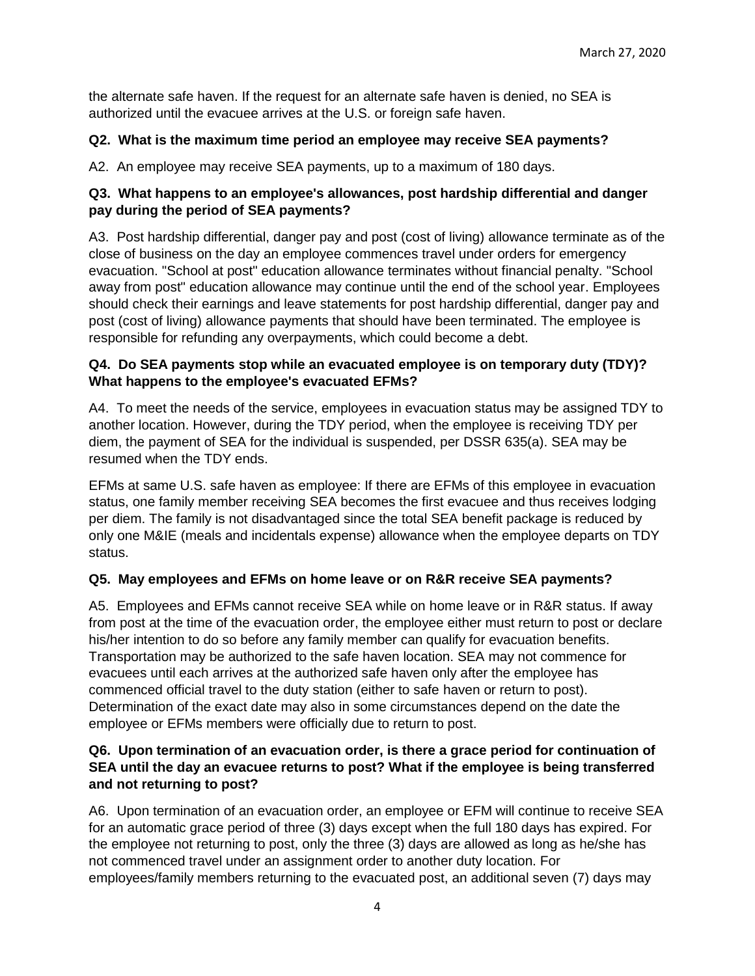the alternate safe haven. If the request for an alternate safe haven is denied, no SEA is authorized until the evacuee arrives at the U.S. or foreign safe haven.

#### **Q2. What is the maximum time period an employee may receive SEA payments?**

A2. An employee may receive SEA payments, up to a maximum of 180 days.

#### **Q3. What happens to an employee's allowances, post hardship differential and danger pay during the period of SEA payments?**

A3. Post hardship differential, danger pay and post (cost of living) allowance terminate as of the close of business on the day an employee commences travel under orders for emergency evacuation. "School at post" education allowance terminates without financial penalty. "School away from post" education allowance may continue until the end of the school year. Employees should check their earnings and leave statements for post hardship differential, danger pay and post (cost of living) allowance payments that should have been terminated. The employee is responsible for refunding any overpayments, which could become a debt.

#### **Q4. Do SEA payments stop while an evacuated employee is on temporary duty (TDY)? What happens to the employee's evacuated EFMs?**

A4. To meet the needs of the service, employees in evacuation status may be assigned TDY to another location. However, during the TDY period, when the employee is receiving TDY per diem, the payment of SEA for the individual is suspended, per DSSR 635(a). SEA may be resumed when the TDY ends.

EFMs at same U.S. safe haven as employee: If there are EFMs of this employee in evacuation status, one family member receiving SEA becomes the first evacuee and thus receives lodging per diem. The family is not disadvantaged since the total SEA benefit package is reduced by only one M&IE (meals and incidentals expense) allowance when the employee departs on TDY status.

#### **Q5. May employees and EFMs on home leave or on R&R receive SEA payments?**

A5. Employees and EFMs cannot receive SEA while on home leave or in R&R status. If away from post at the time of the evacuation order, the employee either must return to post or declare his/her intention to do so before any family member can qualify for evacuation benefits. Transportation may be authorized to the safe haven location. SEA may not commence for evacuees until each arrives at the authorized safe haven only after the employee has commenced official travel to the duty station (either to safe haven or return to post). Determination of the exact date may also in some circumstances depend on the date the employee or EFMs members were officially due to return to post.

#### **Q6. Upon termination of an evacuation order, is there a grace period for continuation of SEA until the day an evacuee returns to post? What if the employee is being transferred and not returning to post?**

A6. Upon termination of an evacuation order, an employee or EFM will continue to receive SEA for an automatic grace period of three (3) days except when the full 180 days has expired. For the employee not returning to post, only the three (3) days are allowed as long as he/she has not commenced travel under an assignment order to another duty location. For employees/family members returning to the evacuated post, an additional seven (7) days may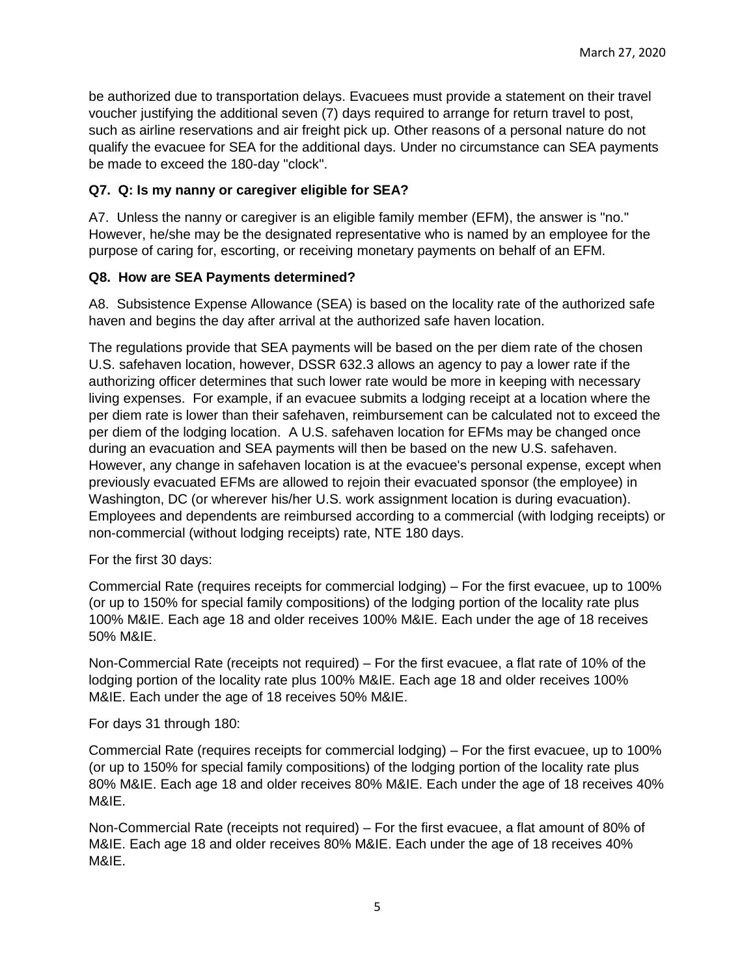be authorized due to transportation delays. Evacuees must provide a statement on their travel voucher justifying the additional seven (7) days required to arrange for return travel to post, such as airline reservations and air freight pick up. Other reasons of a personal nature do not qualify the evacuee for SEA for the additional days. Under no circumstance can SEA payments be made to exceed the 180-day "clock".

#### **Q7. Q: Is my nanny or caregiver eligible for SEA?**

A7. Unless the nanny or caregiver is an eligible family member (EFM), the answer is "no." However, he/she may be the designated representative who is named by an employee for the purpose of caring for, escorting, or receiving monetary payments on behalf of an EFM.

#### **Q8. How are SEA Payments determined?**

A8. Subsistence Expense Allowance (SEA) is based on the locality rate of the authorized safe haven and begins the day after arrival at the authorized safe haven location.

The regulations provide that SEA payments will be based on the per diem rate of the chosen U.S. safehaven location, however, DSSR 632.3 allows an agency to pay a lower rate if the authorizing officer determines that such lower rate would be more in keeping with necessary living expenses. For example, if an evacuee submits a lodging receipt at a location where the per diem rate is lower than their safehaven, reimbursement can be calculated not to exceed the per diem of the lodging location. A U.S. safehaven location for EFMs may be changed once during an evacuation and SEA payments will then be based on the new U.S. safehaven. However, any change in safehaven location is at the evacuee's personal expense, except when previously evacuated EFMs are allowed to rejoin their evacuated sponsor (the employee) in Washington, DC (or wherever his/her U.S. work assignment location is during evacuation). Employees and dependents are reimbursed according to a commercial (with lodging receipts) or non-commercial (without lodging receipts) rate, NTE 180 days.

For the first 30 days:

Commercial Rate (requires receipts for commercial lodging) – For the first evacuee, up to 100% (or up to 150% for special family compositions) of the lodging portion of the locality rate plus 100% M&IE. Each age 18 and older receives 100% M&IE. Each under the age of 18 receives 50% M&IE.

Non-Commercial Rate (receipts not required) – For the first evacuee, a flat rate of 10% of the lodging portion of the locality rate plus 100% M&IE. Each age 18 and older receives 100% M&IE. Each under the age of 18 receives 50% M&IE.

For days 31 through 180:

Commercial Rate (requires receipts for commercial lodging) – For the first evacuee, up to 100% (or up to 150% for special family compositions) of the lodging portion of the locality rate plus 80% M&IE. Each age 18 and older receives 80% M&IE. Each under the age of 18 receives 40% M&IE.

Non-Commercial Rate (receipts not required) – For the first evacuee, a flat amount of 80% of M&IE. Each age 18 and older receives 80% M&IE. Each under the age of 18 receives 40% M&IE.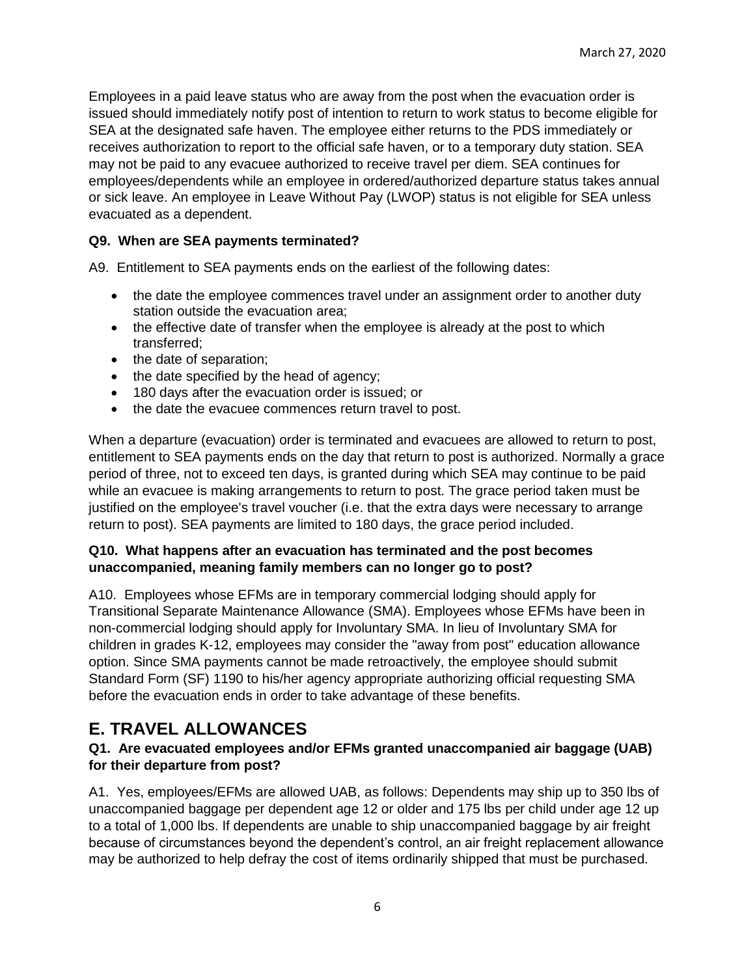Employees in a paid leave status who are away from the post when the evacuation order is issued should immediately notify post of intention to return to work status to become eligible for SEA at the designated safe haven. The employee either returns to the PDS immediately or receives authorization to report to the official safe haven, or to a temporary duty station. SEA may not be paid to any evacuee authorized to receive travel per diem. SEA continues for employees/dependents while an employee in ordered/authorized departure status takes annual or sick leave. An employee in Leave Without Pay (LWOP) status is not eligible for SEA unless evacuated as a dependent.

#### **Q9. When are SEA payments terminated?**

A9. Entitlement to SEA payments ends on the earliest of the following dates:

- the date the employee commences travel under an assignment order to another duty station outside the evacuation area;
- the effective date of transfer when the employee is already at the post to which transferred;
- the date of separation;
- the date specified by the head of agency;
- 180 days after the evacuation order is issued; or
- the date the evacuee commences return travel to post.

When a departure (evacuation) order is terminated and evacuees are allowed to return to post, entitlement to SEA payments ends on the day that return to post is authorized. Normally a grace period of three, not to exceed ten days, is granted during which SEA may continue to be paid while an evacuee is making arrangements to return to post. The grace period taken must be justified on the employee's travel voucher (i.e. that the extra days were necessary to arrange return to post). SEA payments are limited to 180 days, the grace period included.

#### **Q10. What happens after an evacuation has terminated and the post becomes unaccompanied, meaning family members can no longer go to post?**

A10. Employees whose EFMs are in temporary commercial lodging should apply for Transitional Separate Maintenance Allowance (SMA). Employees whose EFMs have been in non-commercial lodging should apply for Involuntary SMA. In lieu of Involuntary SMA for children in grades K-12, employees may consider the "away from post" education allowance option. Since SMA payments cannot be made retroactively, the employee should submit Standard Form (SF) 1190 to his/her agency appropriate authorizing official requesting SMA before the evacuation ends in order to take advantage of these benefits.

## <span id="page-5-0"></span>**E. TRAVEL ALLOWANCES**

#### **Q1. Are evacuated employees and/or EFMs granted unaccompanied air baggage (UAB) for their departure from post?**

A1. Yes, employees/EFMs are allowed UAB, as follows: Dependents may ship up to 350 lbs of unaccompanied baggage per dependent age 12 or older and 175 lbs per child under age 12 up to a total of 1,000 lbs. If dependents are unable to ship unaccompanied baggage by air freight because of circumstances beyond the dependent's control, an air freight replacement allowance may be authorized to help defray the cost of items ordinarily shipped that must be purchased.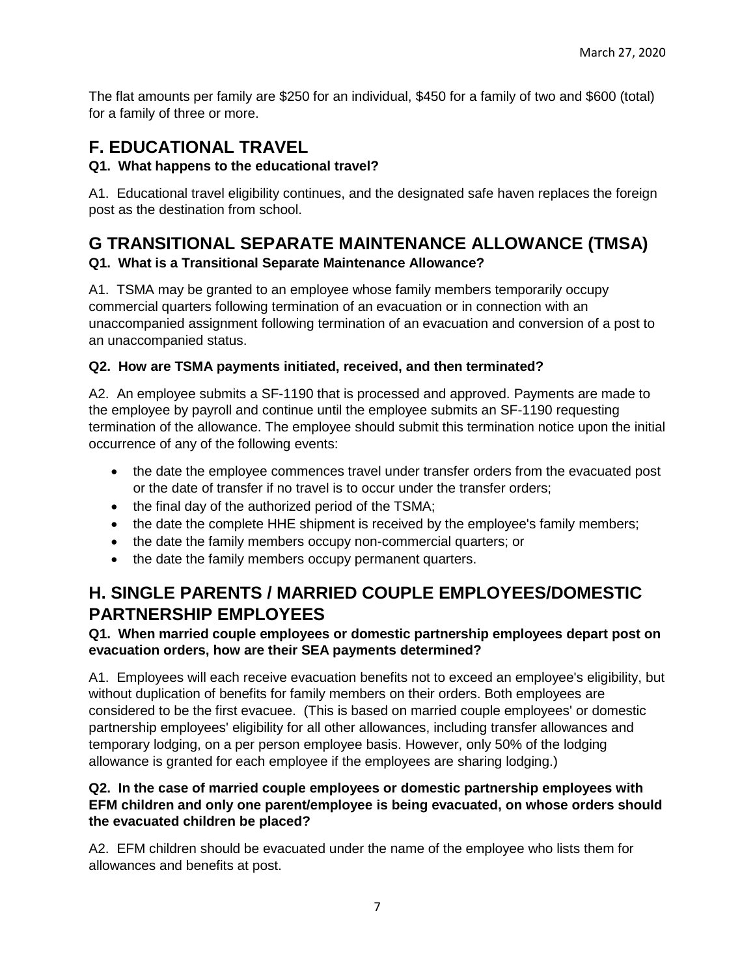The flat amounts per family are \$250 for an individual, \$450 for a family of two and \$600 (total) for a family of three or more.

## <span id="page-6-0"></span>**F. EDUCATIONAL TRAVEL**

### **Q1. What happens to the educational travel?**

A1. Educational travel eligibility continues, and the designated safe haven replaces the foreign post as the destination from school.

### <span id="page-6-1"></span>**G TRANSITIONAL SEPARATE MAINTENANCE ALLOWANCE (TMSA) Q1. What is a Transitional Separate Maintenance Allowance?**

A1. TSMA may be granted to an employee whose family members temporarily occupy commercial quarters following termination of an evacuation or in connection with an unaccompanied assignment following termination of an evacuation and conversion of a post to an unaccompanied status.

### **Q2. How are TSMA payments initiated, received, and then terminated?**

A2. An employee submits a SF-1190 that is processed and approved. Payments are made to the employee by payroll and continue until the employee submits an SF-1190 requesting termination of the allowance. The employee should submit this termination notice upon the initial occurrence of any of the following events:

- the date the employee commences travel under transfer orders from the evacuated post or the date of transfer if no travel is to occur under the transfer orders;
- the final day of the authorized period of the TSMA;
- the date the complete HHE shipment is received by the employee's family members;
- the date the family members occupy non-commercial quarters; or
- the date the family members occupy permanent quarters.

## <span id="page-6-2"></span>**H. SINGLE PARENTS / MARRIED COUPLE EMPLOYEES/DOMESTIC PARTNERSHIP EMPLOYEES**

#### **Q1. When married couple employees or domestic partnership employees depart post on evacuation orders, how are their SEA payments determined?**

A1. Employees will each receive evacuation benefits not to exceed an employee's eligibility, but without duplication of benefits for family members on their orders. Both employees are considered to be the first evacuee. (This is based on married couple employees' or domestic partnership employees' eligibility for all other allowances, including transfer allowances and temporary lodging, on a per person employee basis. However, only 50% of the lodging allowance is granted for each employee if the employees are sharing lodging.)

#### **Q2. In the case of married couple employees or domestic partnership employees with EFM children and only one parent/employee is being evacuated, on whose orders should the evacuated children be placed?**

A2. EFM children should be evacuated under the name of the employee who lists them for allowances and benefits at post.